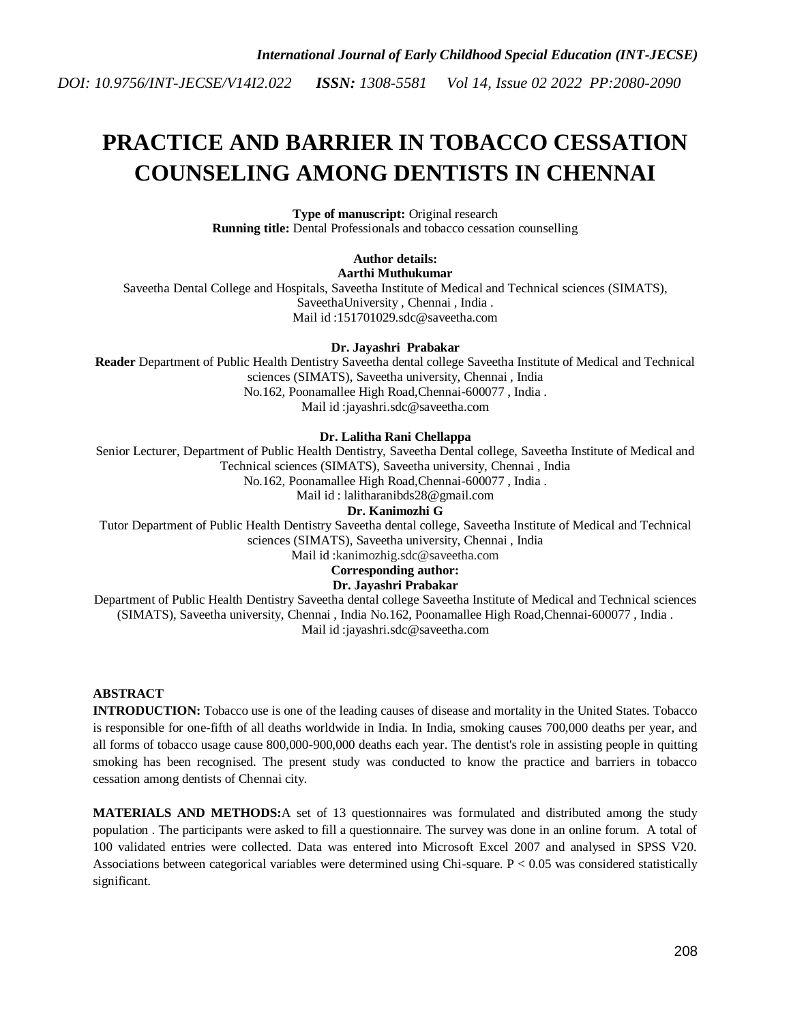# **PRACTICE AND BARRIER IN TOBACCO CESSATION COUNSELING AMONG DENTISTS IN CHENNAI**

**Type of manuscript:** Original research **Running title:** Dental Professionals and tobacco cessation counselling

## **Author details:**

**Aarthi Muthukumar**

Saveetha Dental College and Hospitals, Saveetha Institute of Medical and Technical sciences (SIMATS), SaveethaUniversity , Chennai , India . Mail id [:151701029.sdc@saveetha.com](mailto:151701038.sdc@saveetha.com)

#### **Dr. Jayashri Prabakar**

**Reader** Department of Public Health Dentistry Saveetha dental college Saveetha Institute of Medical and Technical sciences (SIMATS), Saveetha university, Chennai , India No.162, Poonamallee High Road,Chennai-600077 , India . Mail id [:jayashri.sdc@saveetha.com](mailto:jayashri.sdc@saveetha.com)

#### **Dr. Lalitha Rani Chellappa**

Senior Lecturer, Department of Public Health Dentistry, Saveetha Dental college, Saveetha Institute of Medical and Technical sciences (SIMATS), Saveetha university, Chennai , India No.162, Poonamallee High Road,Chennai-600077 , India . Mail id : lalitharanibds28@gmail.com

**Dr. Kanimozhi G**

Tutor Department of Public Health Dentistry Saveetha dental college, Saveetha Institute of Medical and Technical sciences (SIMATS), Saveetha university, Chennai , India

Mail id :kanimozhig.sdc@saveetha.com

### **Corresponding author:**

**Dr. Jayashri Prabakar**

Department of Public Health Dentistry Saveetha dental college Saveetha Institute of Medical and Technical sciences (SIMATS), Saveetha university, Chennai , India No.162, Poonamallee High Road,Chennai-600077 , India . Mail id [:jayashri.sdc@saveetha.com](mailto:jayashri.sdc@saveetha.com)

#### **ABSTRACT**

**INTRODUCTION:** Tobacco use is one of the leading causes of disease and mortality in the United States. Tobacco is responsible for one-fifth of all deaths worldwide in India. In India, smoking causes 700,000 deaths per year, and all forms of tobacco usage cause 800,000-900,000 deaths each year. The dentist's role in assisting people in quitting smoking has been recognised. The present study was conducted to know the practice and barriers in tobacco cessation among dentists of Chennai city.

**MATERIALS AND METHODS:**A set of 13 questionnaires was formulated and distributed among the study population . The participants were asked to fill a questionnaire. The survey was done in an online forum. A total of 100 validated entries were collected. Data was entered into Microsoft Excel 2007 and analysed in SPSS V20. Associations between categorical variables were determined using Chi-square.  $P < 0.05$  was considered statistically significant.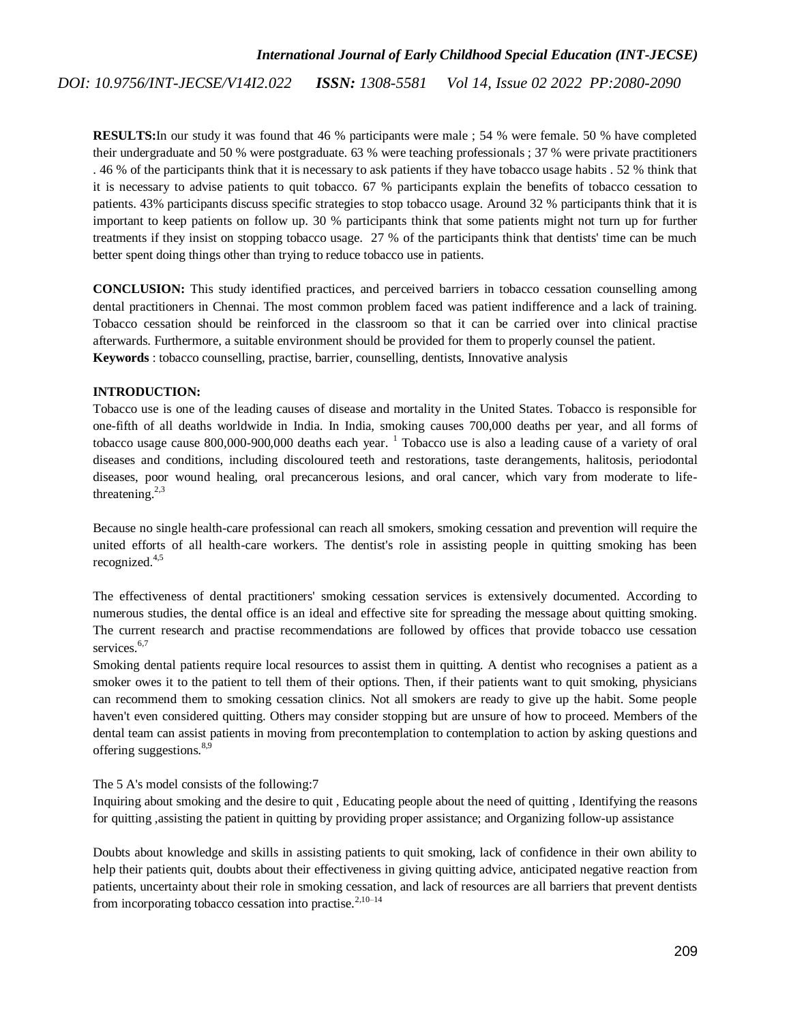**RESULTS:**In our study it was found that 46 % participants were male ; 54 % were female. 50 % have completed their undergraduate and 50 % were postgraduate. 63 % were teaching professionals ; 37 % were private practitioners . 46 % of the participants think that it is necessary to ask patients if they have tobacco usage habits . 52 % think that it is necessary to advise patients to quit tobacco. 67 % participants explain the benefits of tobacco cessation to patients. 43% participants discuss specific strategies to stop tobacco usage. Around 32 % participants think that it is important to keep patients on follow up. 30 % participants think that some patients might not turn up for further treatments if they insist on stopping tobacco usage. 27 % of the participants think that dentists' time can be much better spent doing things other than trying to reduce tobacco use in patients.

**CONCLUSION:** This study identified practices, and perceived barriers in tobacco cessation counselling among dental practitioners in Chennai. The most common problem faced was patient indifference and a lack of training. Tobacco cessation should be reinforced in the classroom so that it can be carried over into clinical practise afterwards. Furthermore, a suitable environment should be provided for them to properly counsel the patient. **Keywords** : tobacco counselling, practise, barrier, counselling, dentists, Innovative analysis

#### **INTRODUCTION:**

Tobacco use is one of the leading causes of disease and mortality in the United States. Tobacco is responsible for one-fifth of all deaths worldwide in India. In India, smoking causes 700,000 deaths per year, and all forms of tobacco usage cause  $800,000$ -900,000 deaths each year. <sup>[1](https://paperpile.com/c/L3yIdr/QjBu)</sup> Tobacco use is also a leading cause of a variety of oral diseases and conditions, including discoloured teeth and restorations, taste derangements, halitosis, periodontal diseases, poor wound healing, oral precancerous lesions, and oral cancer, which vary from moderate to lifethreatening. $2,3$ 

Because no single health-care professional can reach all smokers, smoking cessation and prevention will require the united efforts of all health-care workers. The dentist's role in assisting people in quitting smoking has been recognized.[4,5](https://paperpile.com/c/L3yIdr/Rei0+nbMl)

The effectiveness of dental practitioners' smoking cessation services is extensively documented. According to numerous studies, the dental office is an ideal and effective site for spreading the message about quitting smoking. The current research and practise recommendations are followed by offices that provide tobacco use cessation services.<sup>[6,7](https://paperpile.com/c/L3yIdr/1QVx+9ldr)</sup>

Smoking dental patients require local resources to assist them in quitting. A dentist who recognises a patient as a smoker owes it to the patient to tell them of their options. Then, if their patients want to quit smoking, physicians can recommend them to smoking cessation clinics. Not all smokers are ready to give up the habit. Some people haven't even considered quitting. Others may consider stopping but are unsure of how to proceed. Members of the dental team can assist patients in moving from precontemplation to contemplation to action by asking questions and offering suggestions.  $8,9$ 

The 5 A's model consists of the following:7

Inquiring about smoking and the desire to quit , Educating people about the need of quitting , Identifying the reasons for quitting ,assisting the patient in quitting by providing proper assistance; and Organizing follow-up assistance

Doubts about knowledge and skills in assisting patients to quit smoking, lack of confidence in their own ability to help their patients quit, doubts about their effectiveness in giving quitting advice, anticipated negative reaction from patients, uncertainty about their role in smoking cessation, and lack of resources are all barriers that prevent dentists from incorporating tobacco cessation into practise.<sup>[2,10–14](https://paperpile.com/c/L3yIdr/rhVb+CXJt+lhEB+h6uk+FhI0+V3q5)</sup>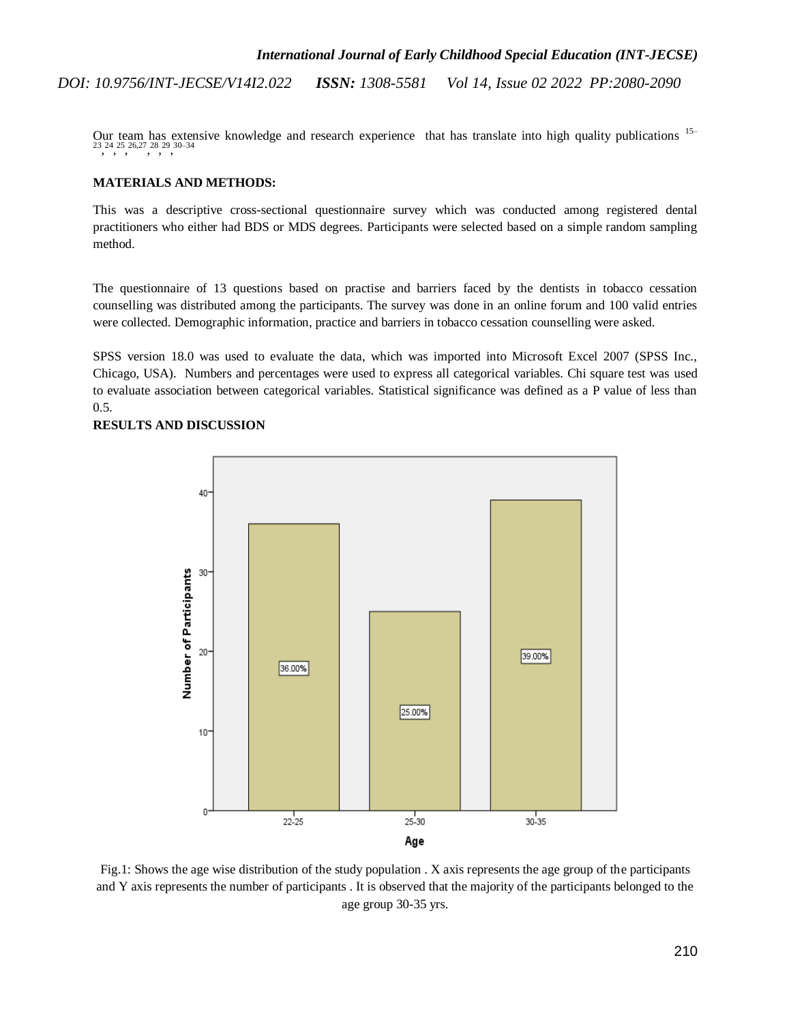Our team has extensive knowledge and research experience that has translate into high quality publications [15–](https://paperpile.com/c/L3yIdr/ghiC+SAhn+ikpd+U4UI+bQQx+ZXt5+OUzz+58Pu+4Z6t) [23](https://paperpile.com/c/L3yIdr/ghiC+SAhn+ikpd+U4UI+bQQx+ZXt5+OUzz+58Pu+4Z6t), [24](https://paperpile.com/c/L3yIdr/hoWr), [25](https://paperpile.com/c/L3yIdr/BudA), 26, 27, [28](https://paperpile.com/c/L3yIdr/SCqC), [29](https://paperpile.com/c/L3yIdr/QPQ6), [30–34](https://paperpile.com/c/L3yIdr/l09X+k3D5+vghe+BJeb+1Hzf)

#### **MATERIALS AND METHODS:**

This was a descriptive cross-sectional questionnaire survey which was conducted among registered dental practitioners who either had BDS or MDS degrees. Participants were selected based on a simple random sampling method.

The questionnaire of 13 questions based on practise and barriers faced by the dentists in tobacco cessation counselling was distributed among the participants. The survey was done in an online forum and 100 valid entries were collected. Demographic information, practice and barriers in tobacco cessation counselling were asked.

SPSS version 18.0 was used to evaluate the data, which was imported into Microsoft Excel 2007 (SPSS Inc., Chicago, USA). Numbers and percentages were used to express all categorical variables. Chi square test was used to evaluate association between categorical variables. Statistical significance was defined as a P value of less than 0.5.

**RESULTS AND DISCUSSION**



Fig.1: Shows the age wise distribution of the study population . X axis represents the age group of the participants and Y axis represents the number of participants . It is observed that the majority of the participants belonged to the age group 30-35 yrs.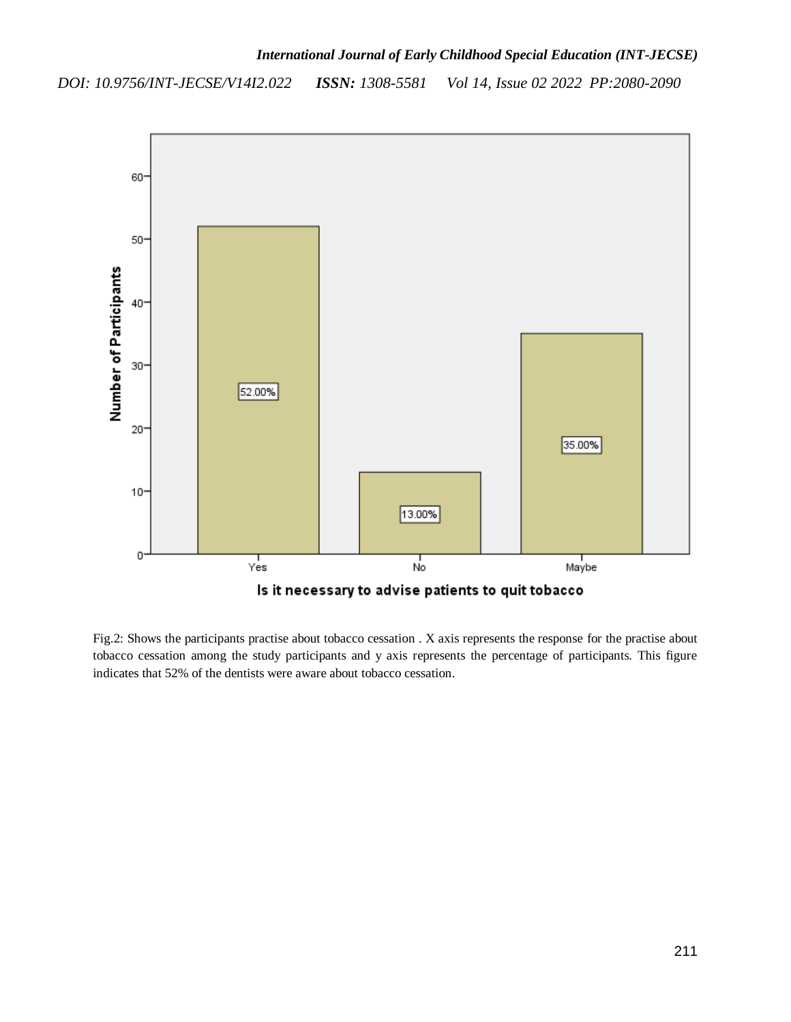

Fig.2: Shows the participants practise about tobacco cessation . X axis represents the response for the practise about tobacco cessation among the study participants and y axis represents the percentage of participants. This figure indicates that 52% of the dentists were aware about tobacco cessation.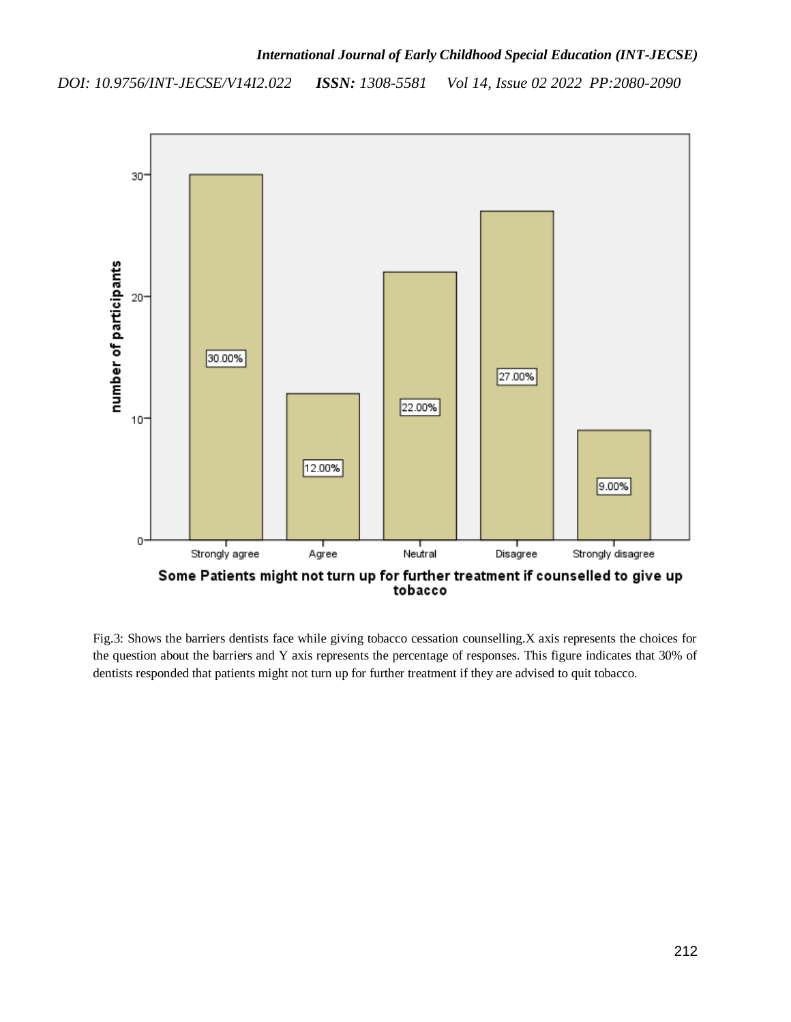

Fig.3: Shows the barriers dentists face while giving tobacco cessation counselling.X axis represents the choices for the question about the barriers and Y axis represents the percentage of responses. This figure indicates that 30% of dentists responded that patients might not turn up for further treatment if they are advised to quit tobacco.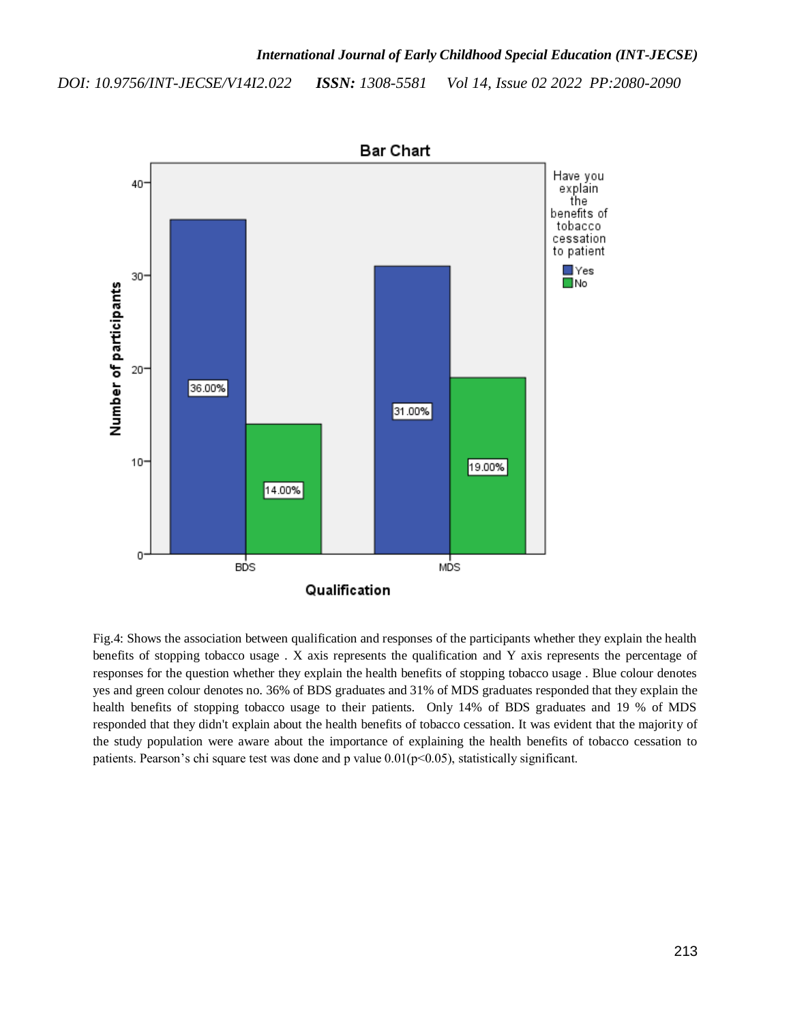

Fig.4: Shows the association between qualification and responses of the participants whether they explain the health benefits of stopping tobacco usage . X axis represents the qualification and Y axis represents the percentage of responses for the question whether they explain the health benefits of stopping tobacco usage . Blue colour denotes yes and green colour denotes no. 36% of BDS graduates and 31% of MDS graduates responded that they explain the health benefits of stopping tobacco usage to their patients. Only 14% of BDS graduates and 19 % of MDS responded that they didn't explain about the health benefits of tobacco cessation. It was evident that the majority of the study population were aware about the importance of explaining the health benefits of tobacco cessation to patients. Pearson's chi square test was done and p value  $0.01(p<0.05)$ , statistically significant.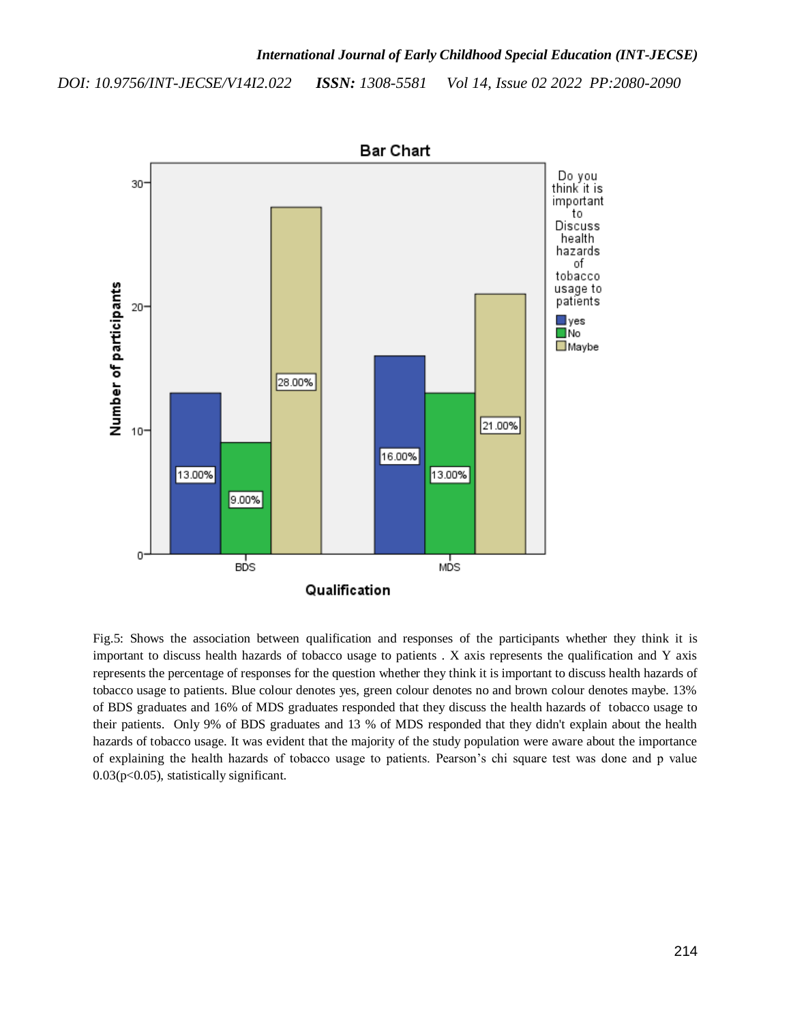

Fig.5: Shows the association between qualification and responses of the participants whether they think it is important to discuss health hazards of tobacco usage to patients . X axis represents the qualification and Y axis represents the percentage of responses for the question whether they think it is important to discuss health hazards of tobacco usage to patients. Blue colour denotes yes, green colour denotes no and brown colour denotes maybe. 13% of BDS graduates and 16% of MDS graduates responded that they discuss the health hazards of tobacco usage to their patients. Only 9% of BDS graduates and 13 % of MDS responded that they didn't explain about the health hazards of tobacco usage. It was evident that the majority of the study population were aware about the importance of explaining the health hazards of tobacco usage to patients. Pearson's chi square test was done and p value 0.03(p<0.05), statistically significant.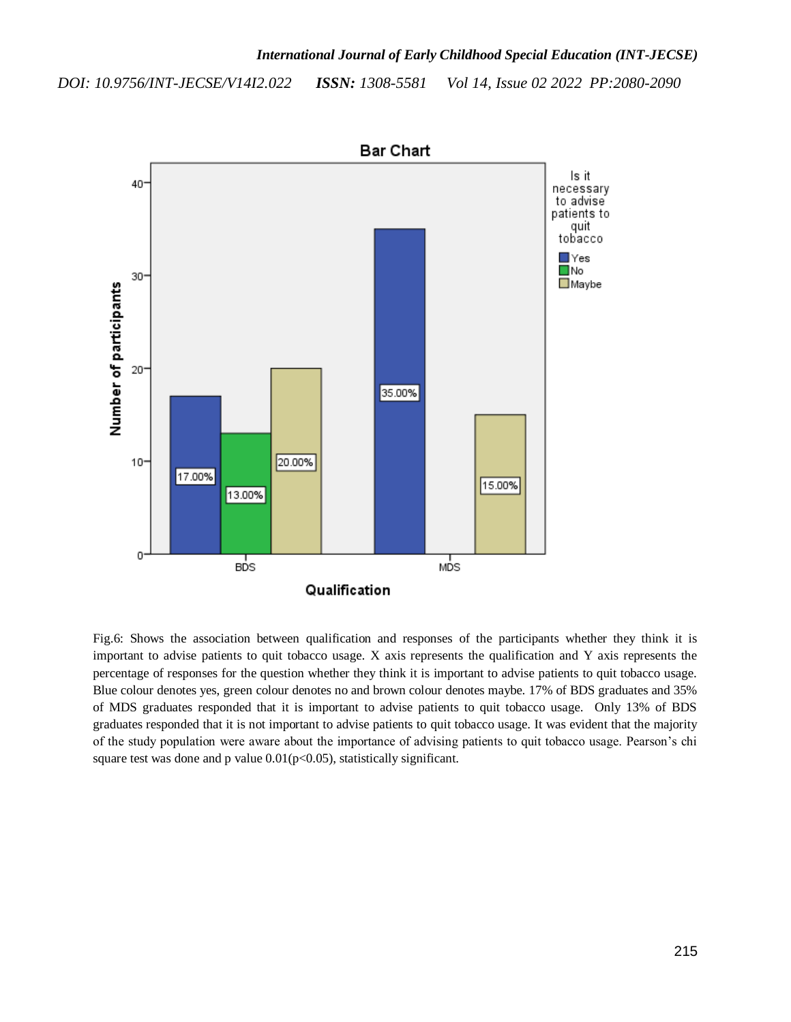

Fig.6: Shows the association between qualification and responses of the participants whether they think it is important to advise patients to quit tobacco usage. X axis represents the qualification and Y axis represents the percentage of responses for the question whether they think it is important to advise patients to quit tobacco usage. Blue colour denotes yes, green colour denotes no and brown colour denotes maybe. 17% of BDS graduates and 35% of MDS graduates responded that it is important to advise patients to quit tobacco usage. Only 13% of BDS graduates responded that it is not important to advise patients to quit tobacco usage. It was evident that the majority of the study population were aware about the importance of advising patients to quit tobacco usage. Pearson's chi square test was done and p value  $0.01(p<0.05)$ , statistically significant.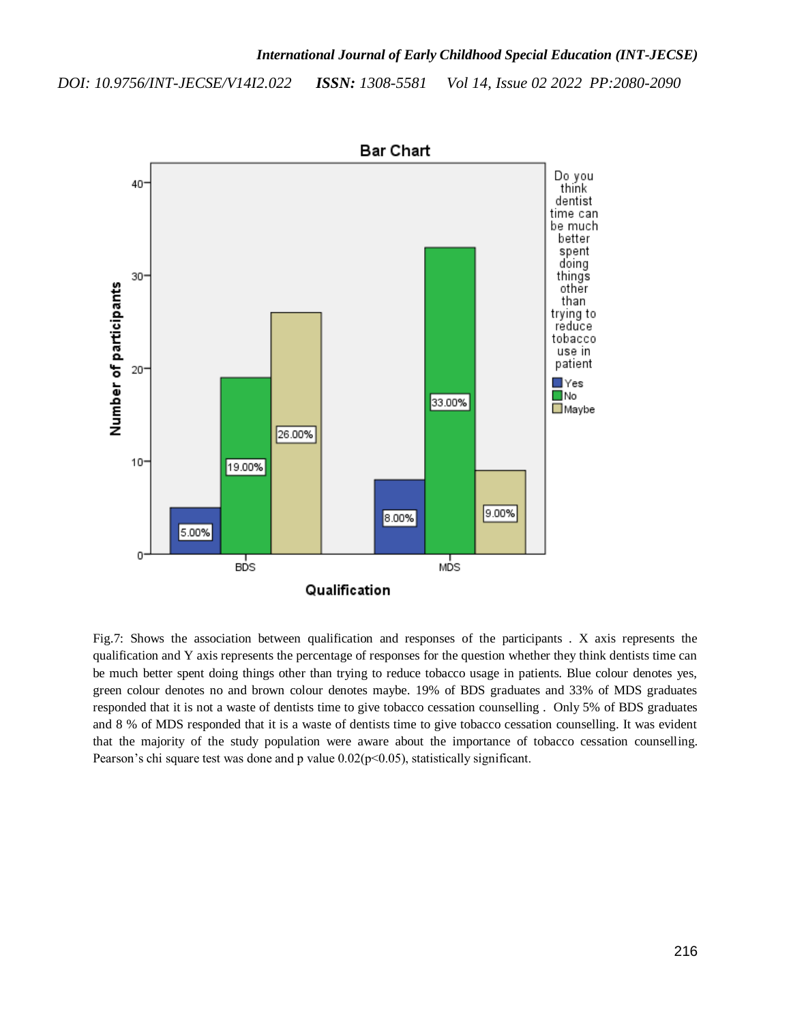

Fig.7: Shows the association between qualification and responses of the participants . X axis represents the qualification and Y axis represents the percentage of responses for the question whether they think dentists time can be much better spent doing things other than trying to reduce tobacco usage in patients. Blue colour denotes yes, green colour denotes no and brown colour denotes maybe. 19% of BDS graduates and 33% of MDS graduates responded that it is not a waste of dentists time to give tobacco cessation counselling . Only 5% of BDS graduates and 8 % of MDS responded that it is a waste of dentists time to give tobacco cessation counselling. It was evident that the majority of the study population were aware about the importance of tobacco cessation counselling. Pearson's chi square test was done and p value  $0.02(p<0.05)$ , statistically significant.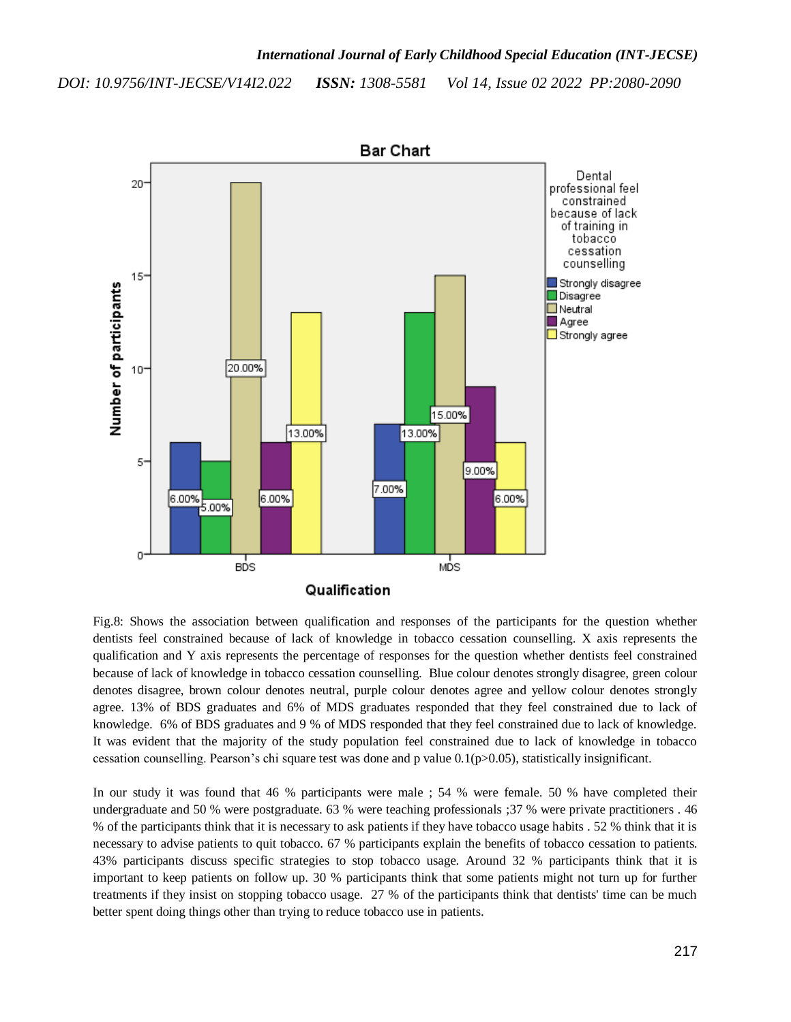

Fig.8: Shows the association between qualification and responses of the participants for the question whether dentists feel constrained because of lack of knowledge in tobacco cessation counselling. X axis represents the qualification and Y axis represents the percentage of responses for the question whether dentists feel constrained because of lack of knowledge in tobacco cessation counselling. Blue colour denotes strongly disagree, green colour denotes disagree, brown colour denotes neutral, purple colour denotes agree and yellow colour denotes strongly agree. 13% of BDS graduates and 6% of MDS graduates responded that they feel constrained due to lack of knowledge. 6% of BDS graduates and 9 % of MDS responded that they feel constrained due to lack of knowledge. It was evident that the majority of the study population feel constrained due to lack of knowledge in tobacco cessation counselling. Pearson's chi square test was done and p value 0.1(p>0.05), statistically insignificant.

In our study it was found that 46 % participants were male ; 54 % were female. 50 % have completed their undergraduate and 50 % were postgraduate. 63 % were teaching professionals ;37 % were private practitioners . 46 % of the participants think that it is necessary to ask patients if they have tobacco usage habits . 52 % think that it is necessary to advise patients to quit tobacco. 67 % participants explain the benefits of tobacco cessation to patients. 43% participants discuss specific strategies to stop tobacco usage. Around 32 % participants think that it is important to keep patients on follow up. 30 % participants think that some patients might not turn up for further treatments if they insist on stopping tobacco usage. 27 % of the participants think that dentists' time can be much better spent doing things other than trying to reduce tobacco use in patients.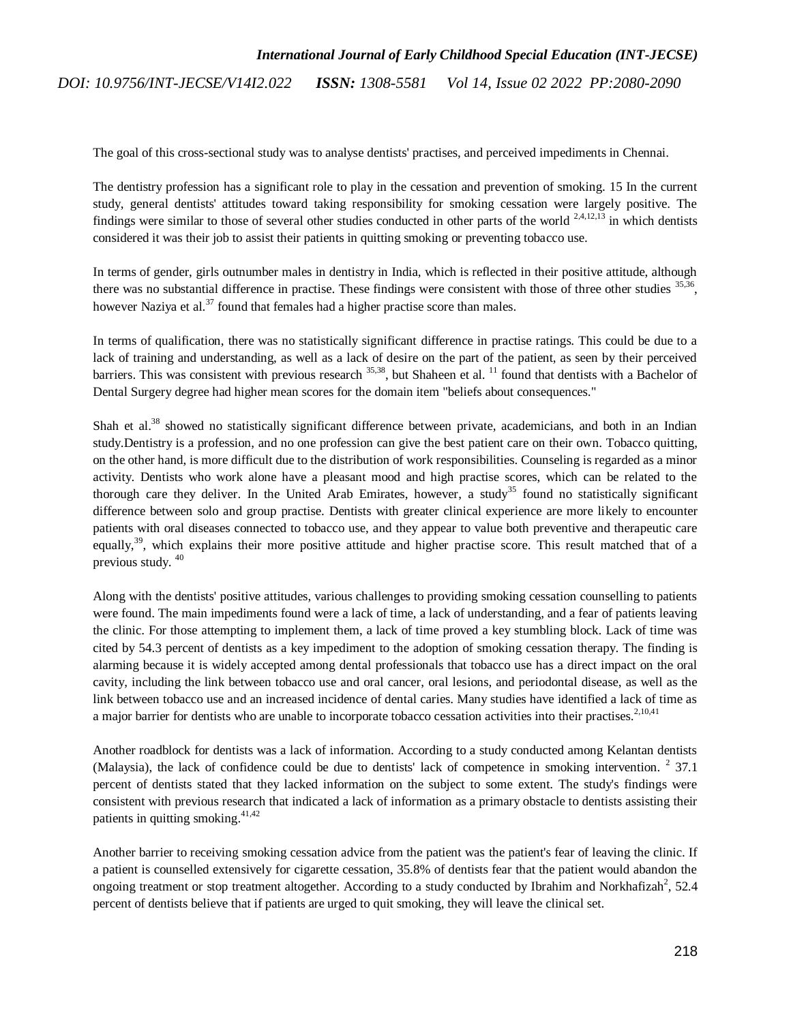The goal of this cross-sectional study was to analyse dentists' practises, and perceived impediments in Chennai.

The dentistry profession has a significant role to play in the cessation and prevention of smoking. 15 In the current study, general dentists' attitudes toward taking responsibility for smoking cessation were largely positive. The findings were similar to those of several other studies conducted in other parts of the world  $2,4,12,13$  in which dentists considered it was their job to assist their patients in quitting smoking or preventing tobacco use.

In terms of gender, girls outnumber males in dentistry in India, which is reflected in their positive attitude, although there was no substantial difference in practise. These findings were consistent with those of three other studies  $35,36$ , however Naziya et al. $37$  found that females had a higher practise score than males.

In terms of qualification, there was no statistically significant difference in practise ratings. This could be due to a lack of training and understanding, as well as a lack of desire on the part of the patient, as seen by their perceived barriers. This was consistent with previous research  $35,38$ , but Shaheen et al.  $^{11}$  $^{11}$  $^{11}$  found that dentists with a Bachelor of Dental Surgery degree had higher mean scores for the domain item "beliefs about consequences."

Shah et al.<sup>[38](https://paperpile.com/c/L3yIdr/D0M8)</sup> showed no statistically significant difference between private, academicians, and both in an Indian study.Dentistry is a profession, and no one profession can give the best patient care on their own. Tobacco quitting, on the other hand, is more difficult due to the distribution of work responsibilities. Counseling is regarded as a minor activity. Dentists who work alone have a pleasant mood and high practise scores, which can be related to the thorough care they deliver. In the United Arab Emirates, however, a study<sup>[35](https://paperpile.com/c/L3yIdr/MOV7)</sup> found no statistically significant difference between solo and group practise. Dentists with greater clinical experience are more likely to encounter patients with oral diseases connected to tobacco use, and they appear to value both preventive and therapeutic care equally,<sup>[39](https://paperpile.com/c/L3yIdr/22a9)</sup>, which explains their more positive attitude and higher practise score. This result matched that of a previous study. [40](https://paperpile.com/c/L3yIdr/vwA3)

Along with the dentists' positive attitudes, various challenges to providing smoking cessation counselling to patients were found. The main impediments found were a lack of time, a lack of understanding, and a fear of patients leaving the clinic. For those attempting to implement them, a lack of time proved a key stumbling block. Lack of time was cited by 54.3 percent of dentists as a key impediment to the adoption of smoking cessation therapy. The finding is alarming because it is widely accepted among dental professionals that tobacco use has a direct impact on the oral cavity, including the link between tobacco use and oral cancer, oral lesions, and periodontal disease, as well as the link between tobacco use and an increased incidence of dental caries. Many studies have identified a lack of time as a major barrier for dentists who are unable to incorporate tobacco cessation activities into their practises.<sup>[2,10,41](https://paperpile.com/c/L3yIdr/V3q5+rhVb+0jnt)</sup>

Another roadblock for dentists was a lack of information. According to a study conducted among Kelantan dentists (Malaysia), the lack of confidence could be due to dentists' lack of competence in smoking intervention.  $2\,$  $2\,$  37.1 percent of dentists stated that they lacked information on the subject to some extent. The study's findings were consistent with previous research that indicated a lack of information as a primary obstacle to dentists assisting their patients in quitting smoking.<sup>[41,42](https://paperpile.com/c/L3yIdr/0jnt+r4lS)</sup>

Another barrier to receiving smoking cessation advice from the patient was the patient's fear of leaving the clinic. If a patient is counselled extensively for cigarette cessation, 35.8% of dentists fear that the patient would abandon the ongoing treatment or stop treatment altoget[h](https://paperpile.com/c/L3yIdr/V3q5)er. According to a study conducted by Ibrahim and Norkhafizah<sup>2</sup>, 52.4 percent of dentists believe that if patients are urged to quit smoking, they will leave the clinical set.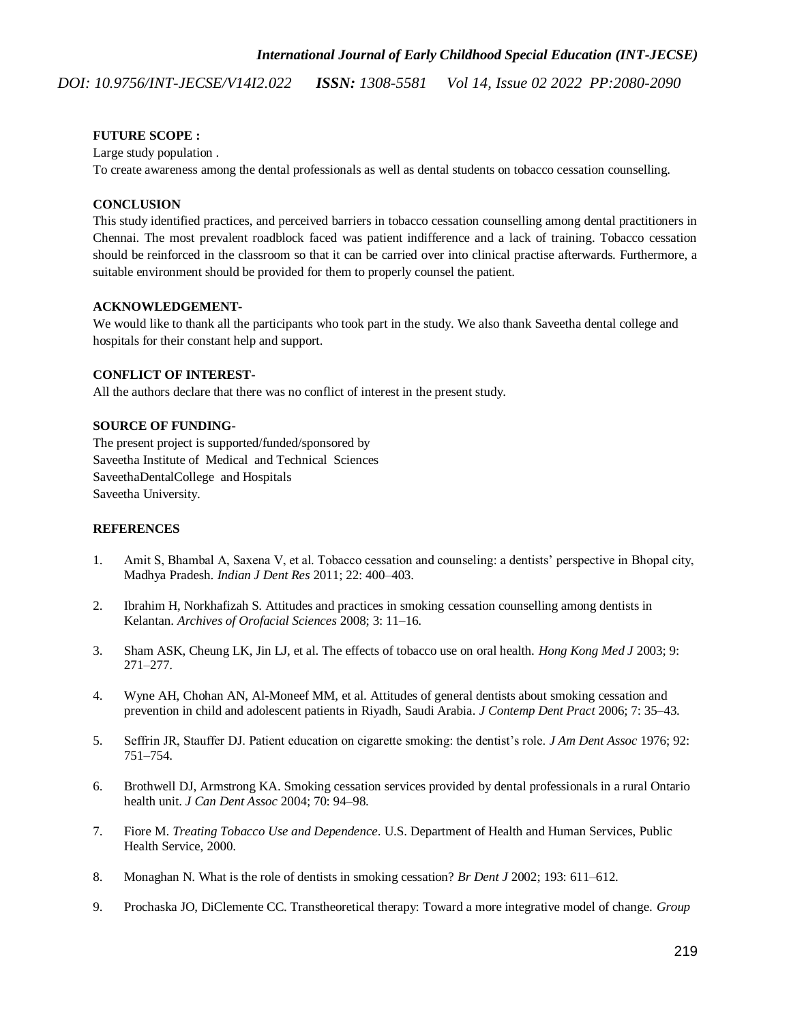#### **FUTURE SCOPE :**

Large study population .

To create awareness among the dental professionals as well as dental students on tobacco cessation counselling.

#### **CONCLUSION**

This study identified practices, and perceived barriers in tobacco cessation counselling among dental practitioners in Chennai. The most prevalent roadblock faced was patient indifference and a lack of training. Tobacco cessation should be reinforced in the classroom so that it can be carried over into clinical practise afterwards. Furthermore, a suitable environment should be provided for them to properly counsel the patient.

#### **ACKNOWLEDGEMENT-**

We would like to thank all the participants who took part in the study. We also thank Saveetha dental college and hospitals for their constant help and support.

#### **CONFLICT OF INTEREST-**

All the authors declare that there was no conflict of interest in the present study.

#### **SOURCE OF FUNDING-**

The present project is supported/funded/sponsored by Saveetha Institute of Medical and Technical Sciences SaveethaDentalCollege and Hospitals Saveetha University.

#### **REFERENCES**

- 1. [Amit S, Bhambal A, Saxena V, et al. Tobacco cessation and counseling: a dentists' perspective in Bhopal city,](http://paperpile.com/b/L3yIdr/QjBu)  [Madhya Pradesh.](http://paperpile.com/b/L3yIdr/QjBu) *[Indian J Dent Res](http://paperpile.com/b/L3yIdr/QjBu)* [2011; 22: 400–403.](http://paperpile.com/b/L3yIdr/QjBu)
- 2. [Ibrahim H, Norkhafizah S. Attitudes and practices in smoking cessation counselling among dentists in](http://paperpile.com/b/L3yIdr/V3q5)  [Kelantan.](http://paperpile.com/b/L3yIdr/V3q5) *[Archives of Orofacial Sciences](http://paperpile.com/b/L3yIdr/V3q5)* [2008; 3: 11–16.](http://paperpile.com/b/L3yIdr/V3q5)
- 3. [Sham ASK, Cheung LK, Jin LJ, et al. The effects of tobacco use on oral health.](http://paperpile.com/b/L3yIdr/w6g6) *[Hong Kong Med J](http://paperpile.com/b/L3yIdr/w6g6)* [2003; 9:](http://paperpile.com/b/L3yIdr/w6g6)  [271–277.](http://paperpile.com/b/L3yIdr/w6g6)
- 4. [Wyne AH, Chohan AN, Al-Moneef MM, et al. Attitudes of general dentists about smoking cessation and](http://paperpile.com/b/L3yIdr/Rei0)  [prevention in child and adolescent patients in Riyadh, Saudi Arabia.](http://paperpile.com/b/L3yIdr/Rei0) *[J Contemp Dent Pract](http://paperpile.com/b/L3yIdr/Rei0)* [2006; 7: 35–43.](http://paperpile.com/b/L3yIdr/Rei0)
- 5. [Seffrin JR, Stauffer DJ. Patient education on cigarette smoking: the dentist's role.](http://paperpile.com/b/L3yIdr/nbMl) *[J Am Dent Assoc](http://paperpile.com/b/L3yIdr/nbMl)* [1976; 92:](http://paperpile.com/b/L3yIdr/nbMl)  [751–754.](http://paperpile.com/b/L3yIdr/nbMl)
- 6. [Brothwell DJ, Armstrong KA. Smoking cessation services provided](http://paperpile.com/b/L3yIdr/1QVx) by dental professionals in a rural Ontario [health unit.](http://paperpile.com/b/L3yIdr/1QVx) *[J Can Dent Assoc](http://paperpile.com/b/L3yIdr/1QVx)* [2004; 70: 94–98.](http://paperpile.com/b/L3yIdr/1QVx)
- 7. [Fiore](http://paperpile.com/b/L3yIdr/9ldr) M[.](http://paperpile.com/b/L3yIdr/9ldr) *[Treating Tobacco Use and Dependence](http://paperpile.com/b/L3yIdr/9ldr)*[. U.S. Department of Health and Human Services, Public](http://paperpile.com/b/L3yIdr/9ldr)  [Health Service, 2000.](http://paperpile.com/b/L3yIdr/9ldr)
- 8. [Monaghan N. What is the role of dentists in smoking cessation?](http://paperpile.com/b/L3yIdr/1t8v) *[Br Dent J](http://paperpile.com/b/L3yIdr/1t8v)* [2002; 193: 611–612.](http://paperpile.com/b/L3yIdr/1t8v)
- 9. [Prochaska JO, DiClemente CC. Transtheoretical therapy: Toward a more integrative model of change.](http://paperpile.com/b/L3yIdr/Gdpn) *[Group](http://paperpile.com/b/L3yIdr/Gdpn)*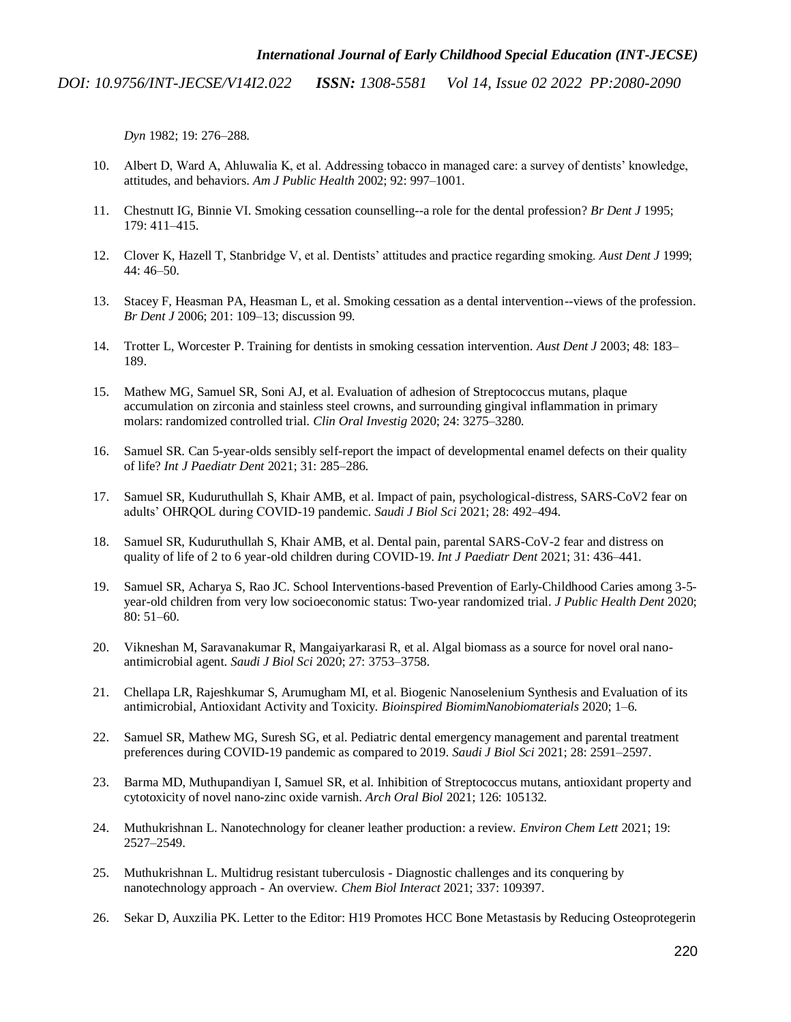*Dyn* [1982; 19: 276–288.](http://paperpile.com/b/L3yIdr/Gdpn)

- 10. [Albert D, Ward A, Ahluwalia K, et al. Addressing tobacco in managed care: a survey of dentists' knowledge,](http://paperpile.com/b/L3yIdr/rhVb)  [attitudes, and behaviors.](http://paperpile.com/b/L3yIdr/rhVb) *[Am J Public Health](http://paperpile.com/b/L3yIdr/rhVb)* [2002; 92: 997–1001.](http://paperpile.com/b/L3yIdr/rhVb)
- 11. [Chestnutt IG, Binnie VI. Smoking cessation counselling--a role for the dental profession?](http://paperpile.com/b/L3yIdr/CXJt) *[Br Dent J](http://paperpile.com/b/L3yIdr/CXJt)* [1995;](http://paperpile.com/b/L3yIdr/CXJt)  [179: 411–415.](http://paperpile.com/b/L3yIdr/CXJt)
- 12. [Clover K, Hazell T, Stanbridge V, et al. Dentists' attitudes and practice regarding smoking.](http://paperpile.com/b/L3yIdr/lhEB) *[Aust Dent J](http://paperpile.com/b/L3yIdr/lhEB)* [1999;](http://paperpile.com/b/L3yIdr/lhEB)  [44: 46–50.](http://paperpile.com/b/L3yIdr/lhEB)
- 13. [Stacey F, Heasman PA, Heasman L, et al. Smoking cessation as a dental intervention--views of the profession.](http://paperpile.com/b/L3yIdr/h6uk)  *[Br Dent J](http://paperpile.com/b/L3yIdr/h6uk)* [2006; 201: 109–13; discussion 99.](http://paperpile.com/b/L3yIdr/h6uk)
- 14. [Trotter L, Worcester P. Training for dentists in smoking cessation intervention.](http://paperpile.com/b/L3yIdr/FhI0) *[Aust Dent J](http://paperpile.com/b/L3yIdr/FhI0)* [2003; 48: 183–](http://paperpile.com/b/L3yIdr/FhI0) [189.](http://paperpile.com/b/L3yIdr/FhI0)
- 15. [Mathew MG, Samuel SR, Soni AJ, et al. Evaluation of adhesion of Streptococcus mutans, plaque](http://paperpile.com/b/L3yIdr/ghiC)  [accumulation on zirconia and stainless steel crowns, and surrounding gingival inflammation in primary](http://paperpile.com/b/L3yIdr/ghiC)  [molars: randomized controlled trial.](http://paperpile.com/b/L3yIdr/ghiC) *[Clin Oral Investig](http://paperpile.com/b/L3yIdr/ghiC)* [2020; 24: 3275–3280.](http://paperpile.com/b/L3yIdr/ghiC)
- 16. [Samuel SR. Can 5-year-olds sensibly self-report the impact of developmental enamel defects on their quality](http://paperpile.com/b/L3yIdr/SAhn)  [of life?](http://paperpile.com/b/L3yIdr/SAhn) *[Int J Paediatr Dent](http://paperpile.com/b/L3yIdr/SAhn)* [2021; 31: 285–286.](http://paperpile.com/b/L3yIdr/SAhn)
- 17. [Samuel SR, Kuduruthullah S, Khair AMB, et al. Impact of pain, psychological-distress, SARS-CoV2 fear on](http://paperpile.com/b/L3yIdr/ikpd)  [adults' OHRQOL during COVID-19 pandemic.](http://paperpile.com/b/L3yIdr/ikpd) *[Saudi J Biol Sci](http://paperpile.com/b/L3yIdr/ikpd)* [2021; 28: 492–494.](http://paperpile.com/b/L3yIdr/ikpd)
- 18. [Samuel SR, Kuduruthullah S, Khair AMB, et al. Dental pain, parental SARS-CoV-2 fear and distress on](http://paperpile.com/b/L3yIdr/U4UI)  [quality of life of 2 to 6 year-old children during COVID-19.](http://paperpile.com/b/L3yIdr/U4UI) *[Int J Paediatr Dent](http://paperpile.com/b/L3yIdr/U4UI)* [2021; 31: 436–441.](http://paperpile.com/b/L3yIdr/U4UI)
- 19. [Samuel SR, Acharya S, Rao JC. School Interventions-based Prevention of Early-Childhood Caries among 3-5](http://paperpile.com/b/L3yIdr/bQQx) [year-old children from very low socioeconomic status: Two-year randomized trial.](http://paperpile.com/b/L3yIdr/bQQx) *[J Public Health Dent](http://paperpile.com/b/L3yIdr/bQQx)* [2020;](http://paperpile.com/b/L3yIdr/bQQx)  [80: 51–60.](http://paperpile.com/b/L3yIdr/bQQx)
- 20. [Vikneshan M, Saravanakumar R, Mangaiyarkarasi R, et al. Algal biomass as a source for novel oral nano](http://paperpile.com/b/L3yIdr/ZXt5)[antimicrobial agent.](http://paperpile.com/b/L3yIdr/ZXt5) *[Saudi J Biol Sci](http://paperpile.com/b/L3yIdr/ZXt5)* [2020; 27: 3753–3758.](http://paperpile.com/b/L3yIdr/ZXt5)
- 21. [Chellapa LR, Rajeshkumar S, Arumugham MI, et al. Biogenic Nanoselenium Synthesis and Evaluation of its](http://paperpile.com/b/L3yIdr/OUzz)  [antimicrobial, Antioxidant Activity and Toxicity.](http://paperpile.com/b/L3yIdr/OUzz) *[Bioinspired BiomimNanobiomaterials](http://paperpile.com/b/L3yIdr/OUzz)* [2020; 1–6.](http://paperpile.com/b/L3yIdr/OUzz)
- 22. [Samuel SR, Mathew MG, Suresh SG, et al. Pediatric dental emergency management and parental treatment](http://paperpile.com/b/L3yIdr/58Pu)  [preferences during COVID-19 pandemic as compared to 2019.](http://paperpile.com/b/L3yIdr/58Pu) *[Saudi J Biol Sci](http://paperpile.com/b/L3yIdr/58Pu)* [2021; 28: 2591–2597.](http://paperpile.com/b/L3yIdr/58Pu)
- 23. [Barma MD, Muthupandiyan I, Samuel SR, et al. Inhibition of Streptococcus mutans, antioxidant property and](http://paperpile.com/b/L3yIdr/4Z6t)  [cytotoxicity of novel nano-zinc oxide varnish.](http://paperpile.com/b/L3yIdr/4Z6t) *[Arch Oral Biol](http://paperpile.com/b/L3yIdr/4Z6t)* [2021; 126: 105132.](http://paperpile.com/b/L3yIdr/4Z6t)
- 24. [Muthukrishnan L. Nanotechnology for cleaner leather production: a review.](http://paperpile.com/b/L3yIdr/hoWr) *[Environ Chem Lett](http://paperpile.com/b/L3yIdr/hoWr)* [2021; 19:](http://paperpile.com/b/L3yIdr/hoWr)  [2527–2549.](http://paperpile.com/b/L3yIdr/hoWr)
- 25. [Muthukrishnan L. Multidrug resistant tuberculosis -](http://paperpile.com/b/L3yIdr/BudA) Diagnostic challenges and its conquering by [nanotechnology approach -](http://paperpile.com/b/L3yIdr/BudA) An overview. *[Chem Biol Interact](http://paperpile.com/b/L3yIdr/BudA)* [2021; 337: 109397.](http://paperpile.com/b/L3yIdr/BudA)
- 26. [Sekar D, Auxzilia PK. Letter to the Editor: H19 Promotes HCC Bone Metastasis by Reducing Osteoprotegerin](http://paperpile.com/b/L3yIdr/vtPa)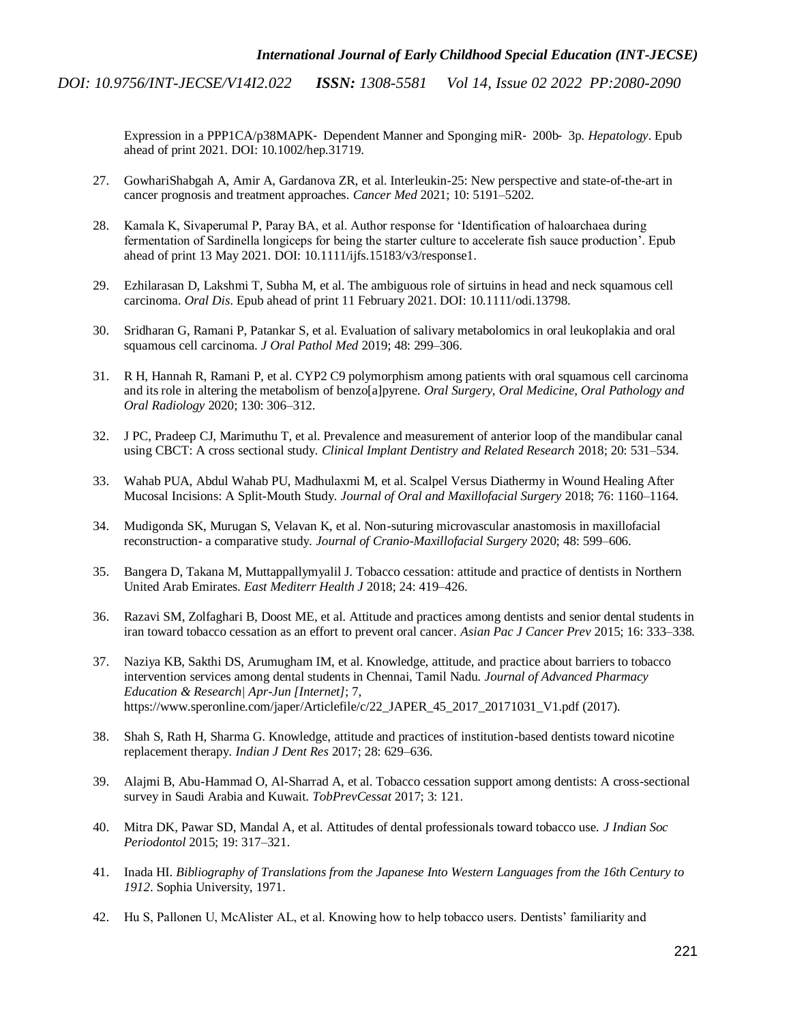> Expression in a PPP1CA/p38MAPK‐ Dependent Manner and Sponging miR‐ 200b‐ 3p.*Hepatology*[. Epub](http://paperpile.com/b/L3yIdr/vtPa)  ahead of print 2021. DOI: [1](http://dx.doi.org/10.1002/hep.31719)0.1002/hep.3171[9.](http://dx.doi.org/10.1002/hep.31719)

- 27. GowhariShabgah A, Amir A, Gardanova ZR, et [al. Interleukin-25: New perspective and state-of-the-art in](http://paperpile.com/b/L3yIdr/joQw)  [cancer prognosis and treatment approaches.](http://paperpile.com/b/L3yIdr/joQw) *[Cancer Med](http://paperpile.com/b/L3yIdr/joQw)* [2021; 10: 5191–5202.](http://paperpile.com/b/L3yIdr/joQw)
- 28. [Kamala K, Sivaperumal P, Paray BA, et al. Author response for 'Identification of haloarchaea during](http://paperpile.com/b/L3yIdr/SCqC)  [fermentation of Sardinella longiceps for being the starter culture to accelerate fish sauce production'. Epub](http://paperpile.com/b/L3yIdr/SCqC)  ahead [of print 13 May 2021. DOI: 10.1111/ijfs.15183/v3/response1.](http://paperpile.com/b/L3yIdr/SCqC)
- 29. [Ezhilarasan D, Lakshmi T, Subha M, et al. The ambiguous role of sirtuins in head and neck squamous cell](http://paperpile.com/b/L3yIdr/QPQ6)  [carcinoma.](http://paperpile.com/b/L3yIdr/QPQ6) *[Oral Dis](http://paperpile.com/b/L3yIdr/QPQ6)*. Epub ahead of print 11 February 2021. DOI[: 10.1111/odi.13798.](http://paperpile.com/b/L3yIdr/QPQ6)
- 30. [Sridharan G, Ramani P, Patankar S, et al. Evaluation of salivary metabolomics in oral leukoplakia and oral](http://paperpile.com/b/L3yIdr/l09X)  [squamous cell carcinoma.](http://paperpile.com/b/L3yIdr/l09X) *[J Oral Pathol Med](http://paperpile.com/b/L3yIdr/l09X)* [2019; 48: 299–306.](http://paperpile.com/b/L3yIdr/l09X)
- 31. [R H, Hannah R, Ramani P, et al. CYP2 C9 polymorphism among patients with oral squamous cell carcinoma](http://paperpile.com/b/L3yIdr/k3D5)  [and its role in altering the metabolism of benzo\[a\]pyrene.](http://paperpile.com/b/L3yIdr/k3D5) *[Oral Surgery, Oral Medicine, Oral Pathology and](http://paperpile.com/b/L3yIdr/k3D5)  Oral Radiology* [2020; 130: 306–312.](http://paperpile.com/b/L3yIdr/k3D5)
- 32. [J PC, Pradeep CJ, Marimuthu T, et al. Prevalence and measurement of anterior loop of the mandibular canal](http://paperpile.com/b/L3yIdr/vghe)  [using CBCT: A cross sectional study.](http://paperpile.com/b/L3yIdr/vghe) *[Clinical Implant Dentistry and Related Research](http://paperpile.com/b/L3yIdr/vghe)* [2018; 20: 531–534.](http://paperpile.com/b/L3yIdr/vghe)
- 33. [Wahab PUA, Abdul Wahab PU, Madhulaxmi M, et al. Scalpel Versus Diathermy in Wound Healing After](http://paperpile.com/b/L3yIdr/BJeb)  [Mucosal Incisions: A Split-Mouth Study.](http://paperpile.com/b/L3yIdr/BJeb) *[Journal of Oral and Maxillofacial Surgery](http://paperpile.com/b/L3yIdr/BJeb)* [2018; 76: 1160–1164.](http://paperpile.com/b/L3yIdr/BJeb)
- 34. [Mudigonda SK, Murugan S, Velavan K, et al. Non-suturing microvascular anastomosis in maxillofacial](http://paperpile.com/b/L3yIdr/1Hzf)  reconstruction- [a comparative study.](http://paperpile.com/b/L3yIdr/1Hzf) *[Journal of Cranio-Maxillofacial Surgery](http://paperpile.com/b/L3yIdr/1Hzf)* [2020; 48: 599–606.](http://paperpile.com/b/L3yIdr/1Hzf)
- 35. [Bangera D, Takana M, Muttappallymyalil J. Tobacco cessation: attitude and practice of dentists in Northern](http://paperpile.com/b/L3yIdr/MOV7)  [United Arab Emirates.](http://paperpile.com/b/L3yIdr/MOV7) *[East Mediterr Health J](http://paperpile.com/b/L3yIdr/MOV7)* [2018; 24: 419–426.](http://paperpile.com/b/L3yIdr/MOV7)
- 36. [Razavi SM, Zolfaghari B, Doost ME, et al. Attitude and practices among dentists and senior dental students in](http://paperpile.com/b/L3yIdr/YP2N)  [iran toward tobacco cessation as an effort to prevent oral cancer.](http://paperpile.com/b/L3yIdr/YP2N) *[Asian Pac J Cancer Prev](http://paperpile.com/b/L3yIdr/YP2N)* [2015; 16: 333–338.](http://paperpile.com/b/L3yIdr/YP2N)
- 37. [Naziya KB, Sakthi DS, Arumugham IM, et al. Knowledge, attitude, and practice about barriers to tobacco](http://paperpile.com/b/L3yIdr/e93H)  [intervention services among dental students in Chennai, Tamil Nadu.](http://paperpile.com/b/L3yIdr/e93H) *[Journal of Advanced Pharmacy](http://paperpile.com/b/L3yIdr/e93H)  Education & Research| Apr-Jun [Internet]*[; 7,](http://paperpile.com/b/L3yIdr/e93H)  https://www.speronline.com/japer/Articlefile/c/22 JAPER 45 2017 20171031 V1.pdf [\(2017\).](http://paperpile.com/b/L3yIdr/e93H)
- 38. [Shah S, Rath H, Sharma G. Knowledge, attitude and practices of institution-based dentists toward nicotine](http://paperpile.com/b/L3yIdr/D0M8)  [replacement therapy.](http://paperpile.com/b/L3yIdr/D0M8) *[Indian J Dent Res](http://paperpile.com/b/L3yIdr/D0M8)* [2017; 28: 629–636.](http://paperpile.com/b/L3yIdr/D0M8)
- 39. [Alajmi B, Abu-Hammad O, Al-Sharrad A, et al. Tobacco cessation support among dentists: A cross-sectional](http://paperpile.com/b/L3yIdr/22a9)  [survey in Saudi Arabia and Kuwait.](http://paperpile.com/b/L3yIdr/22a9) *[TobPrevCessat](http://paperpile.com/b/L3yIdr/22a9)* [2017; 3: 121.](http://paperpile.com/b/L3yIdr/22a9)
- 40. [Mitra DK, Pawar SD, Mandal A, et al. Attitudes of dental professionals toward tobacco use.](http://paperpile.com/b/L3yIdr/vwA3) *[J Indian Soc](http://paperpile.com/b/L3yIdr/vwA3)  Periodontol* [2015; 19: 317–321.](http://paperpile.com/b/L3yIdr/vwA3)
- 41. [Inada HI.](http://paperpile.com/b/L3yIdr/0jnt) *Bibliography [of Translations from the Japanese Into Western Languages from the 16th Century to](http://paperpile.com/b/L3yIdr/0jnt)  1912*[. Sophia University, 1971.](http://paperpile.com/b/L3yIdr/0jnt)
- 42. [Hu S, Pallonen U, McAlister AL, et al. Knowing how to help tobacco users. Dentists' familiarity and](http://paperpile.com/b/L3yIdr/r4lS)